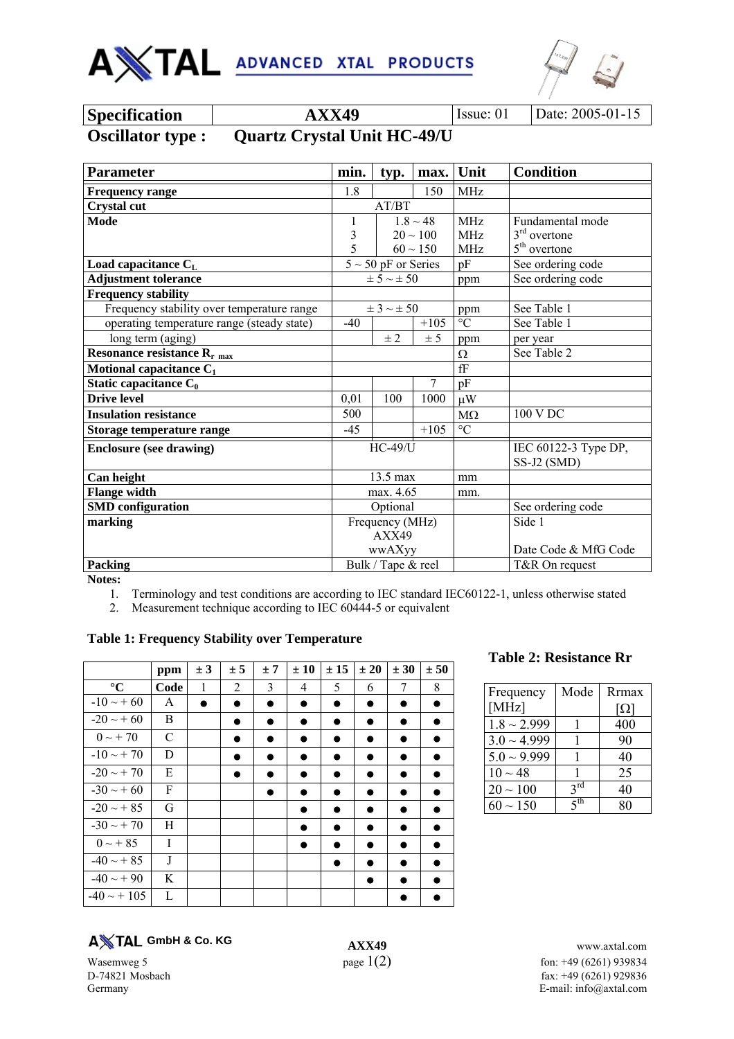



| <b>Specification</b>     | <b>AXX49</b>                       | <b>Issue:</b> 01 | Date: 2005-01-15 |
|--------------------------|------------------------------------|------------------|------------------|
| <b>Oscillator type :</b> | <b>Quartz Crystal Unit HC-49/U</b> |                  |                  |

| <b>Parameter</b>                           | min.  | typ.                     | max.          | Unit                 | <b>Condition</b>     |
|--------------------------------------------|-------|--------------------------|---------------|----------------------|----------------------|
| <b>Frequency range</b>                     | 1.8   |                          | 150           | MHz                  |                      |
| <b>Crystal cut</b>                         | AT/BT |                          |               |                      |                      |
| <b>Mode</b>                                | 1     |                          | $1.8 \sim 48$ | <b>MHz</b>           | Fundamental mode     |
|                                            | 3     |                          | $20 \sim 100$ | <b>MHz</b>           | $3rd$ overtone       |
|                                            | 5     |                          | $60 \sim 150$ | MHz                  | $5th$ overtone       |
| Load capacitance $C_{L}$                   |       | $5 \sim 50$ pF or Series |               | pF                   | See ordering code    |
| <b>Adjustment tolerance</b>                |       | $\pm$ 5 $\sim$ $\pm$ 50  |               | ppm                  | See ordering code    |
| <b>Frequency stability</b>                 |       |                          |               |                      |                      |
| Frequency stability over temperature range |       | $\pm$ 3 $\sim$ $\pm$ 50  |               | ppm                  | See Table 1          |
| operating temperature range (steady state) | $-40$ |                          | $+105$        | $\rm ^{\circ}C$      | See Table 1          |
| long term (aging)                          |       | ± 2                      | ± 5           | ppm                  | per year             |
| Resonance resistance $R_{r \text{ max}}$   |       |                          |               | Ω                    | See Table 2          |
| Motional capacitance $C_1$                 |       |                          |               | $\operatorname{f\!}$ |                      |
| Static capacitance $C_0$                   |       |                          | $\tau$        | pF                   |                      |
| <b>Drive level</b>                         | 0,01  | 100                      | 1000          | $\mu$ W              |                      |
| <b>Insulation resistance</b>               | 500   |                          |               | $M\Omega$            | 100 V DC             |
| Storage temperature range                  | $-45$ |                          | $+105$        | $\rm ^{\circ}C$      |                      |
| <b>Enclosure (see drawing)</b>             |       | $HC-49/U$                |               |                      | IEC 60122-3 Type DP, |
|                                            |       |                          |               |                      | SS-J2 (SMD)          |
| Can height                                 |       | 13.5 max                 |               | mm                   |                      |
| <b>Flange width</b>                        |       | max. 4.65                |               | mm.                  |                      |
| <b>SMD</b> configuration                   |       | Optional                 |               |                      | See ordering code    |
| marking                                    |       | Frequency (MHz)          |               |                      | Side 1               |
|                                            | AXX49 |                          |               |                      |                      |
|                                            |       | wwAXyy                   |               |                      | Date Code & MfG Code |
| Packing                                    |       | Bulk / Tape & reel       |               |                      | T&R On request       |

**Notes:** 

1. Terminology and test conditions are according to IEC standard IEC60122-1, unless otherwise stated

2. Measurement technique according to IEC 60444-5 or equivalent

#### **Table 1: Frequency Stability over Temperature**

|                  | ppm  | ± 3       | ± 5 | ±7        | ± 10 | ± 15 | ± 20      | ± 30 | ± 50 |
|------------------|------|-----------|-----|-----------|------|------|-----------|------|------|
| $\rm ^{\circ}C$  | Code | 1         | 2   | 3         | 4    | 5    | 6         | 7    | 8    |
| $-10 \sim +60$   | A    | $\bullet$ | Ð   | $\bullet$ | ●    |      | $\bullet$ | D    |      |
| $-20 \sim +60$   | B    |           |     |           |      |      |           | в    |      |
| $0 \sim +70$     | C    |           |     |           | ٠    |      |           | D    |      |
| $-10 \sim +70$   | D    |           |     |           |      |      |           |      |      |
| $-20 \sim +70$   | E    |           |     |           |      |      |           |      |      |
| $-30 \sim +60$   | F    |           |     |           | ٠    | Ω    |           | Ð    |      |
| $-20 \sim +85$   | G    |           |     |           |      | ۰    |           |      |      |
| $-30 \sim +70$   | Н    |           |     |           |      |      | 9         |      |      |
| $0 \sim +85$     | I    |           |     |           |      |      |           | ٠    |      |
| $-40 \sim +85$   | J    |           |     |           |      |      |           | ٠    |      |
| $-40 \sim +90$   | K    |           |     |           |      |      | ۰         |      |      |
| $-40 \sim + 105$ | L    |           |     |           |      |      |           |      |      |

# **Table 2: Resistance Rr**

| Frequency        | Mode            | <b>Rrmax</b> |
|------------------|-----------------|--------------|
| [ $MHz$ ]        |                 | Ω]           |
| $1.8 \sim 2.999$ |                 | 400          |
| $3.0 \sim 4.999$ |                 | 90           |
| $5.0 \sim 9.999$ |                 | 40           |
| $10 \sim 48$     |                 | 25           |
| $20 \sim 100$    | $2^{\text{rd}}$ | 40           |
| $60 \sim 150$    | ςth             |              |

**GmbH & Co. KG**